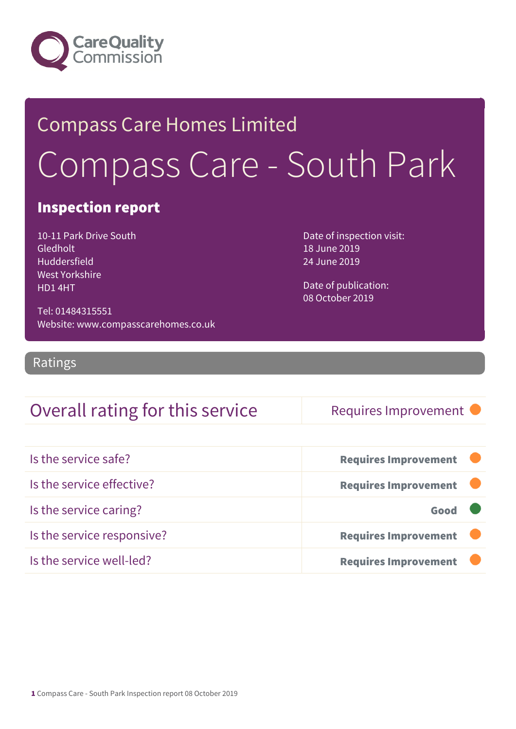

# Compass Care Homes Limited Compass Care - South Park

### Inspection report

10-11 Park Drive South Gledholt Huddersfield West Yorkshire HD1 4HT

Date of inspection visit: 18 June 2019 24 June 2019

Date of publication: 08 October 2019

Tel: 01484315551 Website: www.compasscarehomes.co.uk

Ratings

### Overall rating for this service Requires Improvement

| Is the service safe?       | <b>Requires Improvement</b> |
|----------------------------|-----------------------------|
| Is the service effective?  | <b>Requires Improvement</b> |
| Is the service caring?     | Good                        |
| Is the service responsive? | <b>Requires Improvement</b> |
| Is the service well-led?   | <b>Requires Improvement</b> |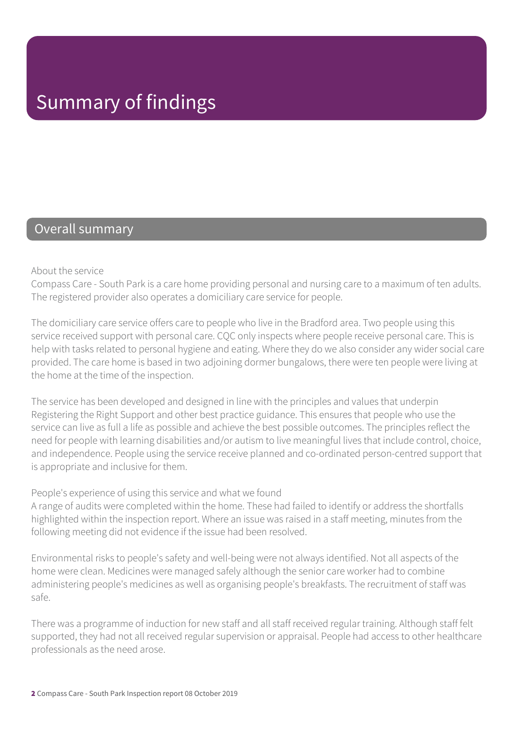### Overall summary

About the service

Compass Care - South Park is a care home providing personal and nursing care to a maximum of ten adults. The registered provider also operates a domiciliary care service for people.

The domiciliary care service offers care to people who live in the Bradford area. Two people using this service received support with personal care. CQC only inspects where people receive personal care. This is help with tasks related to personal hygiene and eating. Where they do we also consider any wider social care provided. The care home is based in two adjoining dormer bungalows, there were ten people were living at the home at the time of the inspection.

The service has been developed and designed in line with the principles and values that underpin Registering the Right Support and other best practice guidance. This ensures that people who use the service can live as full a life as possible and achieve the best possible outcomes. The principles reflect the need for people with learning disabilities and/or autism to live meaningful lives that include control, choice, and independence. People using the service receive planned and co-ordinated person-centred support that is appropriate and inclusive for them.

#### People's experience of using this service and what we found

A range of audits were completed within the home. These had failed to identify or address the shortfalls highlighted within the inspection report. Where an issue was raised in a staff meeting, minutes from the following meeting did not evidence if the issue had been resolved.

Environmental risks to people's safety and well-being were not always identified. Not all aspects of the home were clean. Medicines were managed safely although the senior care worker had to combine administering people's medicines as well as organising people's breakfasts. The recruitment of staff was safe.

There was a programme of induction for new staff and all staff received regular training. Although staff felt supported, they had not all received regular supervision or appraisal. People had access to other healthcare professionals as the need arose.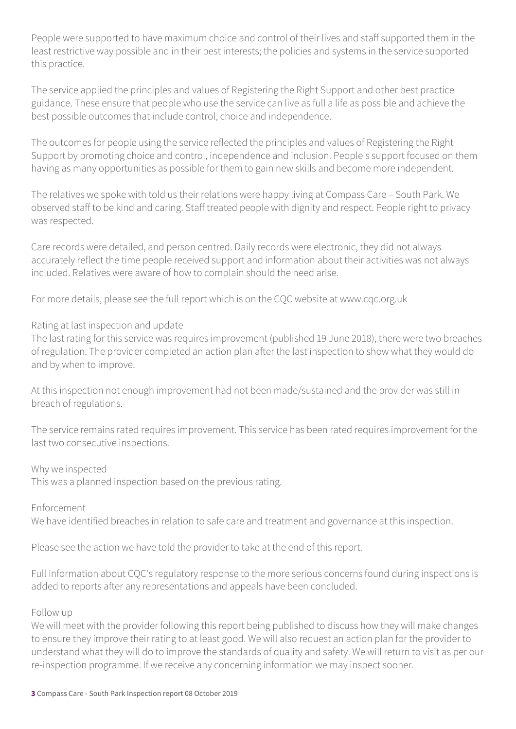People were supported to have maximum choice and control of their lives and staff supported them in the least restrictive way possible and in their best interests; the policies and systems in the service supported this practice.

The service applied the principles and values of Registering the Right Support and other best practice guidance. These ensure that people who use the service can live as full a life as possible and achieve the best possible outcomes that include control, choice and independence.

The outcomes for people using the service reflected the principles and values of Registering the Right Support by promoting choice and control, independence and inclusion. People's support focused on them having as many opportunities as possible for them to gain new skills and become more independent.

The relatives we spoke with told us their relations were happy living at Compass Care – South Park. We observed staff to be kind and caring. Staff treated people with dignity and respect. People right to privacy was respected.

Care records were detailed, and person centred. Daily records were electronic, they did not always accurately reflect the time people received support and information about their activities was not always included. Relatives were aware of how to complain should the need arise.

For more details, please see the full report which is on the CQC website at www.cqc.org.uk

#### Rating at last inspection and update

The last rating for this service was requires improvement (published 19 June 2018), there were two breaches of regulation. The provider completed an action plan after the last inspection to show what they would do and by when to improve.

At this inspection not enough improvement had not been made/sustained and the provider was still in breach of regulations.

The service remains rated requires improvement. This service has been rated requires improvement for the last two consecutive inspections.

Why we inspected

This was a planned inspection based on the previous rating.

Enforcement We have identified breaches in relation to safe care and treatment and governance at this inspection.

Please see the action we have told the provider to take at the end of this report.

Full information about CQC's regulatory response to the more serious concerns found during inspections is added to reports after any representations and appeals have been concluded.

#### Follow up

We will meet with the provider following this report being published to discuss how they will make changes to ensure they improve their rating to at least good. We will also request an action plan for the provider to understand what they will do to improve the standards of quality and safety. We will return to visit as per our re-inspection programme. If we receive any concerning information we may inspect sooner.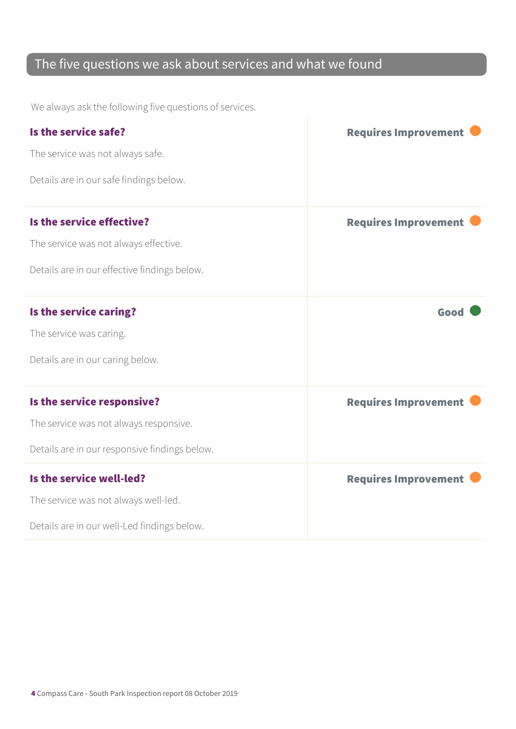### The five questions we ask about services and what we found

We always ask the following five questions of services.

| Is the service safe?                          | <b>Requires Improvement</b> |
|-----------------------------------------------|-----------------------------|
| The service was not always safe.              |                             |
| Details are in our safe findings below.       |                             |
| Is the service effective?                     | <b>Requires Improvement</b> |
| The service was not always effective.         |                             |
| Details are in our effective findings below.  |                             |
| Is the service caring?                        | Good                        |
| The service was caring.                       |                             |
| Details are in our caring below.              |                             |
| Is the service responsive?                    | <b>Requires Improvement</b> |
| The service was not always responsive.        |                             |
| Details are in our responsive findings below. |                             |
| Is the service well-led?                      | <b>Requires Improvement</b> |
| The service was not always well-led.          |                             |
| Details are in our well-Led findings below.   |                             |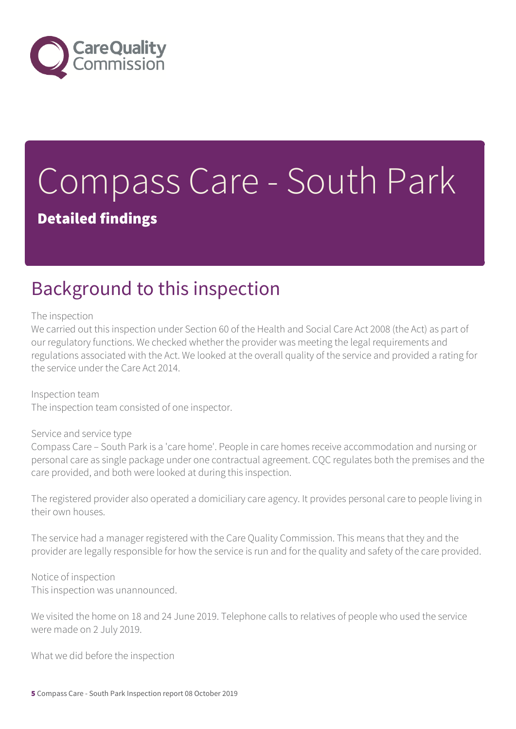

# Compass Care - South Park

Detailed findings

## Background to this inspection

The inspection

We carried out this inspection under Section 60 of the Health and Social Care Act 2008 (the Act) as part of our regulatory functions. We checked whether the provider was meeting the legal requirements and regulations associated with the Act. We looked at the overall quality of the service and provided a rating for the service under the Care Act 2014.

Inspection team The inspection team consisted of one inspector.

#### Service and service type

Compass Care – South Park is a 'care home'. People in care homes receive accommodation and nursing or personal care as single package under one contractual agreement. CQC regulates both the premises and the care provided, and both were looked at during this inspection.

The registered provider also operated a domiciliary care agency. It provides personal care to people living in their own houses.

The service had a manager registered with the Care Quality Commission. This means that they and the provider are legally responsible for how the service is run and for the quality and safety of the care provided.

Notice of inspection This inspection was unannounced.

We visited the home on 18 and 24 June 2019. Telephone calls to relatives of people who used the service were made on 2 July 2019.

What we did before the inspection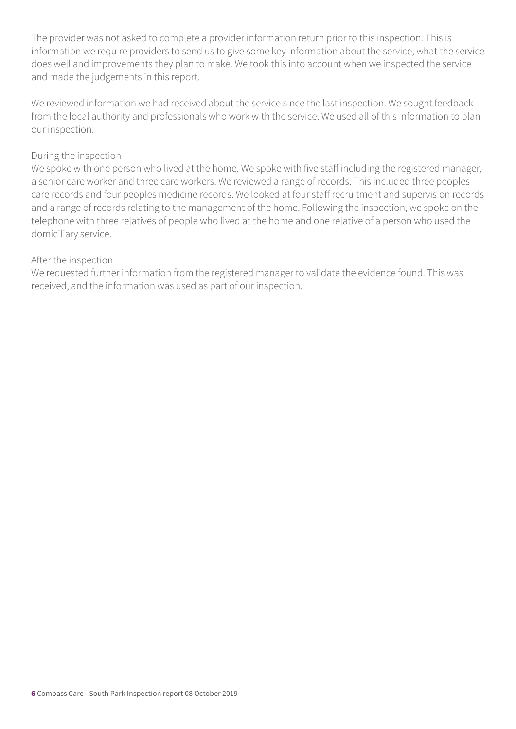The provider was not asked to complete a provider information return prior to this inspection. This is information we require providers to send us to give some key information about the service, what the service does well and improvements they plan to make. We took this into account when we inspected the service and made the judgements in this report.

We reviewed information we had received about the service since the last inspection. We sought feedback from the local authority and professionals who work with the service. We used all of this information to plan our inspection.

#### During the inspection

We spoke with one person who lived at the home. We spoke with five staff including the registered manager, a senior care worker and three care workers. We reviewed a range of records. This included three peoples care records and four peoples medicine records. We looked at four staff recruitment and supervision records and a range of records relating to the management of the home. Following the inspection, we spoke on the telephone with three relatives of people who lived at the home and one relative of a person who used the domiciliary service.

#### After the inspection

We requested further information from the registered manager to validate the evidence found. This was received, and the information was used as part of our inspection.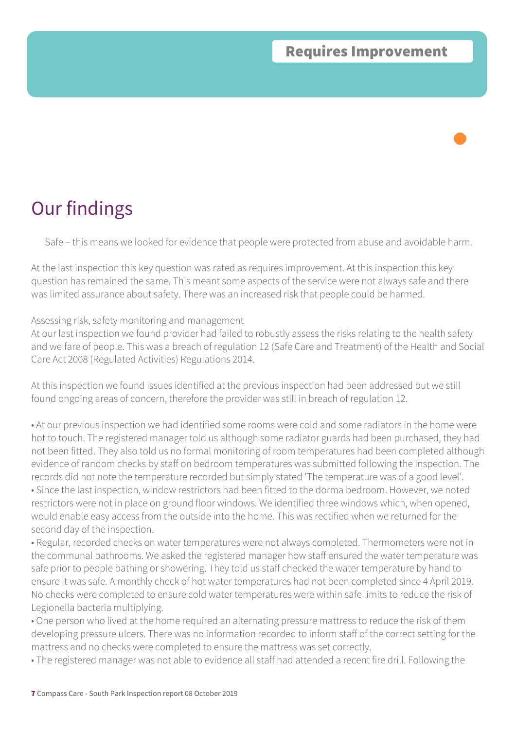Safe – this means we looked for evidence that people were protected from abuse and avoidable harm.

At the last inspection this key question was rated as requires improvement. At this inspection this key question has remained the same. This meant some aspects of the service were not always safe and there was limited assurance about safety. There was an increased risk that people could be harmed.

#### Assessing risk, safety monitoring and management

At our last inspection we found provider had failed to robustly assess the risks relating to the health safety and welfare of people. This was a breach of regulation 12 (Safe Care and Treatment) of the Health and Social Care Act 2008 (Regulated Activities) Regulations 2014.

At this inspection we found issues identified at the previous inspection had been addressed but we still found ongoing areas of concern, therefore the provider was still in breach of regulation 12.

• At our previous inspection we had identified some rooms were cold and some radiators in the home were hot to touch. The registered manager told us although some radiator guards had been purchased, they had not been fitted. They also told us no formal monitoring of room temperatures had been completed although evidence of random checks by staff on bedroom temperatures was submitted following the inspection. The records did not note the temperature recorded but simply stated 'The temperature was of a good level'. • Since the last inspection, window restrictors had been fitted to the dorma bedroom. However, we noted restrictors were not in place on ground floor windows. We identified three windows which, when opened, would enable easy access from the outside into the home. This was rectified when we returned for the second day of the inspection.

• Regular, recorded checks on water temperatures were not always completed. Thermometers were not in the communal bathrooms. We asked the registered manager how staff ensured the water temperature was safe prior to people bathing or showering. They told us staff checked the water temperature by hand to ensure it was safe. A monthly check of hot water temperatures had not been completed since 4 April 2019. No checks were completed to ensure cold water temperatures were within safe limits to reduce the risk of Legionella bacteria multiplying.

• One person who lived at the home required an alternating pressure mattress to reduce the risk of them developing pressure ulcers. There was no information recorded to inform staff of the correct setting for the mattress and no checks were completed to ensure the mattress was set correctly.

• The registered manager was not able to evidence all staff had attended a recent fire drill. Following the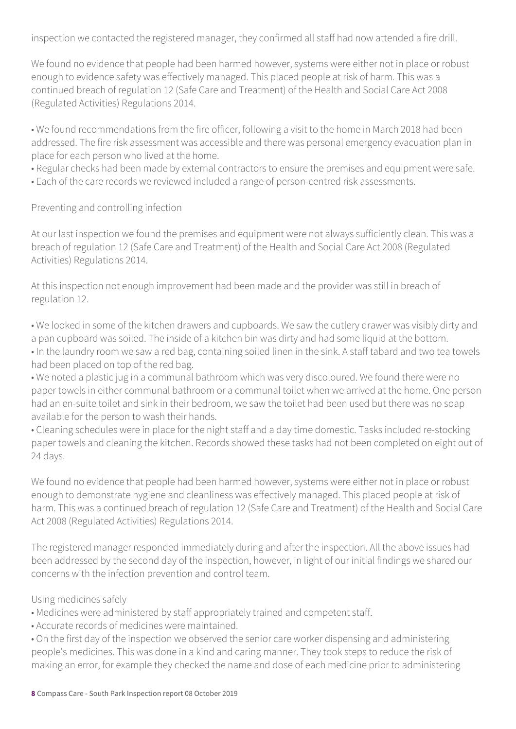inspection we contacted the registered manager, they confirmed all staff had now attended a fire drill.

We found no evidence that people had been harmed however, systems were either not in place or robust enough to evidence safety was effectively managed. This placed people at risk of harm. This was a continued breach of regulation 12 (Safe Care and Treatment) of the Health and Social Care Act 2008 (Regulated Activities) Regulations 2014.

• We found recommendations from the fire officer, following a visit to the home in March 2018 had been addressed. The fire risk assessment was accessible and there was personal emergency evacuation plan in place for each person who lived at the home.

• Regular checks had been made by external contractors to ensure the premises and equipment were safe.

• Each of the care records we reviewed included a range of person-centred risk assessments.

Preventing and controlling infection

At our last inspection we found the premises and equipment were not always sufficiently clean. This was a breach of regulation 12 (Safe Care and Treatment) of the Health and Social Care Act 2008 (Regulated Activities) Regulations 2014.

At this inspection not enough improvement had been made and the provider was still in breach of regulation 12.

• We looked in some of the kitchen drawers and cupboards. We saw the cutlery drawer was visibly dirty and a pan cupboard was soiled. The inside of a kitchen bin was dirty and had some liquid at the bottom. • In the laundry room we saw a red bag, containing soiled linen in the sink. A staff tabard and two tea towels

had been placed on top of the red bag.

• We noted a plastic jug in a communal bathroom which was very discoloured. We found there were no paper towels in either communal bathroom or a communal toilet when we arrived at the home. One person had an en-suite toilet and sink in their bedroom, we saw the toilet had been used but there was no soap available for the person to wash their hands.

• Cleaning schedules were in place for the night staff and a day time domestic. Tasks included re-stocking paper towels and cleaning the kitchen. Records showed these tasks had not been completed on eight out of 24 days.

We found no evidence that people had been harmed however, systems were either not in place or robust enough to demonstrate hygiene and cleanliness was effectively managed. This placed people at risk of harm. This was a continued breach of regulation 12 (Safe Care and Treatment) of the Health and Social Care Act 2008 (Regulated Activities) Regulations 2014.

The registered manager responded immediately during and after the inspection. All the above issues had been addressed by the second day of the inspection, however, in light of our initial findings we shared our concerns with the infection prevention and control team.

Using medicines safely

- Medicines were administered by staff appropriately trained and competent staff.
- Accurate records of medicines were maintained.

• On the first day of the inspection we observed the senior care worker dispensing and administering people's medicines. This was done in a kind and caring manner. They took steps to reduce the risk of making an error, for example they checked the name and dose of each medicine prior to administering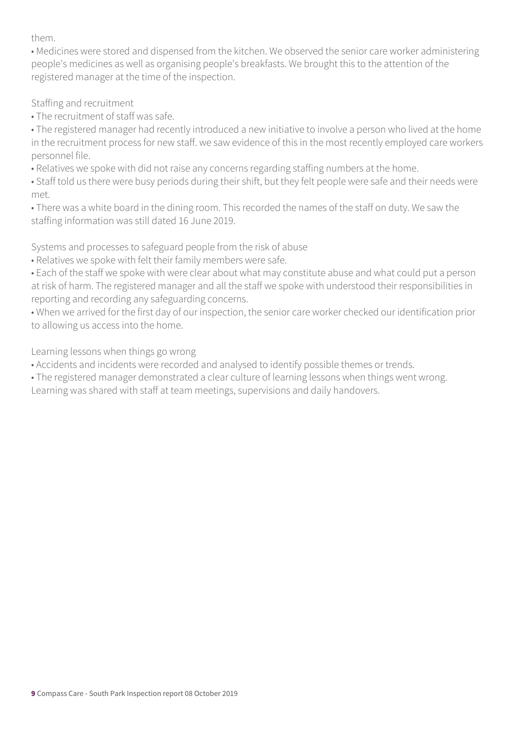them.

• Medicines were stored and dispensed from the kitchen. We observed the senior care worker administering people's medicines as well as organising people's breakfasts. We brought this to the attention of the registered manager at the time of the inspection.

Staffing and recruitment

• The recruitment of staff was safe.

• The registered manager had recently introduced a new initiative to involve a person who lived at the home in the recruitment process for new staff. we saw evidence of this in the most recently employed care workers personnel file.

• Relatives we spoke with did not raise any concerns regarding staffing numbers at the home.

• Staff told us there were busy periods during their shift, but they felt people were safe and their needs were met.

• There was a white board in the dining room. This recorded the names of the staff on duty. We saw the staffing information was still dated 16 June 2019.

Systems and processes to safeguard people from the risk of abuse

• Relatives we spoke with felt their family members were safe.

• Each of the staff we spoke with were clear about what may constitute abuse and what could put a person at risk of harm. The registered manager and all the staff we spoke with understood their responsibilities in reporting and recording any safeguarding concerns.

• When we arrived for the first day of our inspection, the senior care worker checked our identification prior to allowing us access into the home.

Learning lessons when things go wrong

• Accidents and incidents were recorded and analysed to identify possible themes or trends.

• The registered manager demonstrated a clear culture of learning lessons when things went wrong. Learning was shared with staff at team meetings, supervisions and daily handovers.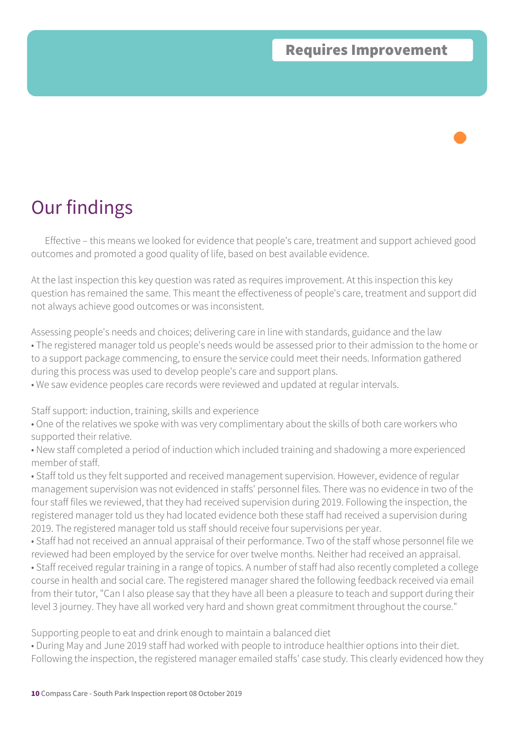Effective – this means we looked for evidence that people's care, treatment and support achieved good outcomes and promoted a good quality of life, based on best available evidence.

At the last inspection this key question was rated as requires improvement. At this inspection this key question has remained the same. This meant the effectiveness of people's care, treatment and support did not always achieve good outcomes or was inconsistent.

Assessing people's needs and choices; delivering care in line with standards, guidance and the law • The registered manager told us people's needs would be assessed prior to their admission to the home or to a support package commencing, to ensure the service could meet their needs. Information gathered during this process was used to develop people's care and support plans.

• We saw evidence peoples care records were reviewed and updated at regular intervals.

Staff support: induction, training, skills and experience

• One of the relatives we spoke with was very complimentary about the skills of both care workers who supported their relative.

• New staff completed a period of induction which included training and shadowing a more experienced member of staff.

• Staff told us they felt supported and received management supervision. However, evidence of regular management supervision was not evidenced in staffs' personnel files. There was no evidence in two of the four staff files we reviewed, that they had received supervision during 2019. Following the inspection, the registered manager told us they had located evidence both these staff had received a supervision during 2019. The registered manager told us staff should receive four supervisions per year.

• Staff had not received an annual appraisal of their performance. Two of the staff whose personnel file we reviewed had been employed by the service for over twelve months. Neither had received an appraisal.

• Staff received regular training in a range of topics. A number of staff had also recently completed a college course in health and social care. The registered manager shared the following feedback received via email from their tutor, "Can I also please say that they have all been a pleasure to teach and support during their level 3 journey. They have all worked very hard and shown great commitment throughout the course."

Supporting people to eat and drink enough to maintain a balanced diet

• During May and June 2019 staff had worked with people to introduce healthier options into their diet. Following the inspection, the registered manager emailed staffs' case study. This clearly evidenced how they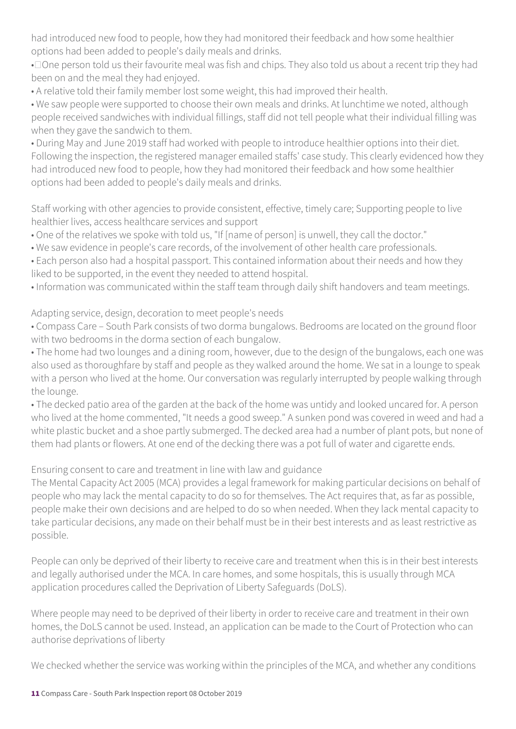had introduced new food to people, how they had monitored their feedback and how some healthier options had been added to people's daily meals and drinks.

• Done person told us their favourite meal was fish and chips. They also told us about a recent trip they had been on and the meal they had enjoyed.

• A relative told their family member lost some weight, this had improved their health.

• We saw people were supported to choose their own meals and drinks. At lunchtime we noted, although people received sandwiches with individual fillings, staff did not tell people what their individual filling was when they gave the sandwich to them.

• During May and June 2019 staff had worked with people to introduce healthier options into their diet. Following the inspection, the registered manager emailed staffs' case study. This clearly evidenced how they had introduced new food to people, how they had monitored their feedback and how some healthier options had been added to people's daily meals and drinks.

Staff working with other agencies to provide consistent, effective, timely care; Supporting people to live healthier lives, access healthcare services and support

- One of the relatives we spoke with told us, "If [name of person] is unwell, they call the doctor."
- We saw evidence in people's care records, of the involvement of other health care professionals.
- Each person also had a hospital passport. This contained information about their needs and how they liked to be supported, in the event they needed to attend hospital.
- Information was communicated within the staff team through daily shift handovers and team meetings.

#### Adapting service, design, decoration to meet people's needs

• Compass Care – South Park consists of two dorma bungalows. Bedrooms are located on the ground floor with two bedrooms in the dorma section of each bungalow.

• The home had two lounges and a dining room, however, due to the design of the bungalows, each one was also used as thoroughfare by staff and people as they walked around the home. We sat in a lounge to speak with a person who lived at the home. Our conversation was regularly interrupted by people walking through the lounge.

• The decked patio area of the garden at the back of the home was untidy and looked uncared for. A person who lived at the home commented, "It needs a good sweep." A sunken pond was covered in weed and had a white plastic bucket and a shoe partly submerged. The decked area had a number of plant pots, but none of them had plants or flowers. At one end of the decking there was a pot full of water and cigarette ends.

### Ensuring consent to care and treatment in line with law and guidance

The Mental Capacity Act 2005 (MCA) provides a legal framework for making particular decisions on behalf of people who may lack the mental capacity to do so for themselves. The Act requires that, as far as possible, people make their own decisions and are helped to do so when needed. When they lack mental capacity to take particular decisions, any made on their behalf must be in their best interests and as least restrictive as possible.

People can only be deprived of their liberty to receive care and treatment when this is in their best interests and legally authorised under the MCA. In care homes, and some hospitals, this is usually through MCA application procedures called the Deprivation of Liberty Safeguards (DoLS).

Where people may need to be deprived of their liberty in order to receive care and treatment in their own homes, the DoLS cannot be used. Instead, an application can be made to the Court of Protection who can authorise deprivations of liberty

We checked whether the service was working within the principles of the MCA, and whether any conditions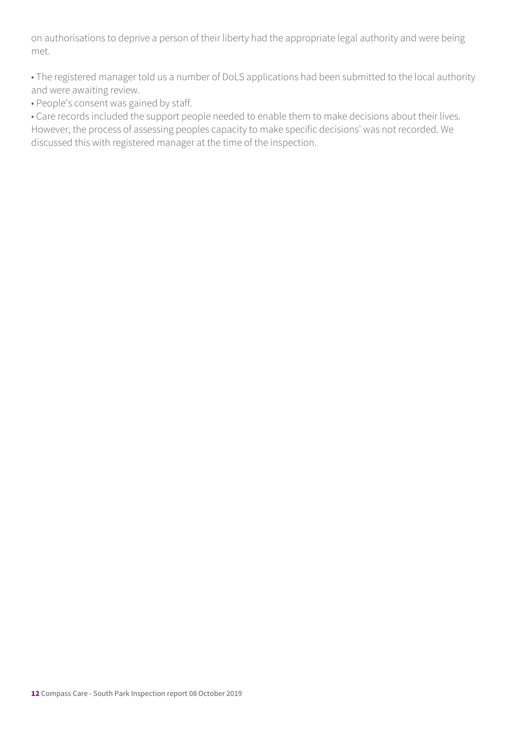on authorisations to deprive a person of their liberty had the appropriate legal authority and were being met.

• The registered manager told us a number of DoLS applications had been submitted to the local authority and were awaiting review.

• People's consent was gained by staff.

• Care records included the support people needed to enable them to make decisions about their lives. However, the process of assessing peoples capacity to make specific decisions' was not recorded. We discussed this with registered manager at the time of the inspection.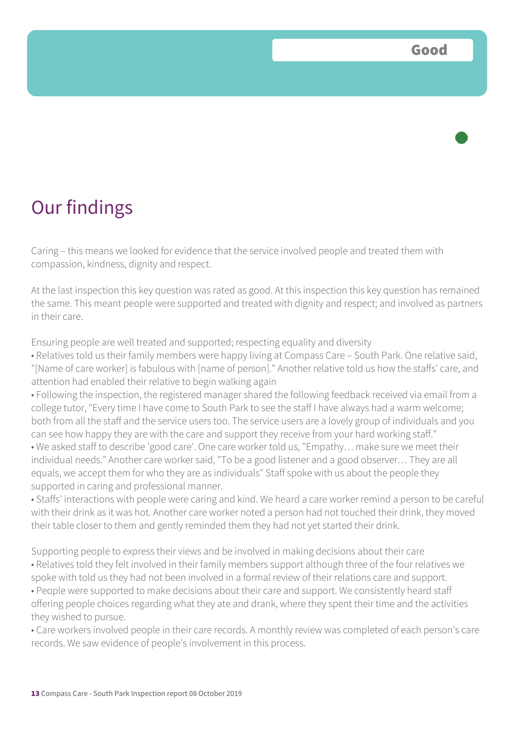Caring – this means we looked for evidence that the service involved people and treated them with compassion, kindness, dignity and respect.

At the last inspection this key question was rated as good. At this inspection this key question has remained the same. This meant people were supported and treated with dignity and respect; and involved as partners in their care.

Ensuring people are well treated and supported; respecting equality and diversity

• Relatives told us their family members were happy living at Compass Care – South Park. One relative said, "[Name of care worker] is fabulous with [name of person]." Another relative told us how the staffs' care, and attention had enabled their relative to begin walking again

• Following the inspection, the registered manager shared the following feedback received via email from a college tutor, "Every time I have come to South Park to see the staff I have always had a warm welcome; both from all the staff and the service users too. The service users are a lovely group of individuals and you can see how happy they are with the care and support they receive from your hard working staff."

• We asked staff to describe 'good care'. One care worker told us, "Empathy… make sure we meet their individual needs." Another care worker said, "To be a good listener and a good observer… They are all equals, we accept them for who they are as individuals" Staff spoke with us about the people they supported in caring and professional manner.

• Staffs' interactions with people were caring and kind. We heard a care worker remind a person to be careful with their drink as it was hot. Another care worker noted a person had not touched their drink, they moved their table closer to them and gently reminded them they had not yet started their drink.

Supporting people to express their views and be involved in making decisions about their care • Relatives told they felt involved in their family members support although three of the four relatives we spoke with told us they had not been involved in a formal review of their relations care and support. • People were supported to make decisions about their care and support. We consistently heard staff offering people choices regarding what they ate and drank, where they spent their time and the activities they wished to pursue.

• Care workers involved people in their care records. A monthly review was completed of each person's care records. We saw evidence of people's involvement in this process.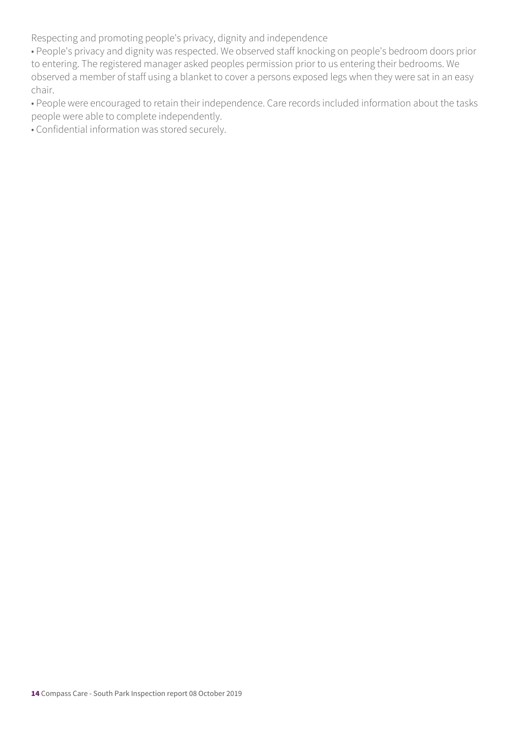Respecting and promoting people's privacy, dignity and independence

• People's privacy and dignity was respected. We observed staff knocking on people's bedroom doors prior to entering. The registered manager asked peoples permission prior to us entering their bedrooms. We observed a member of staff using a blanket to cover a persons exposed legs when they were sat in an easy chair.

• People were encouraged to retain their independence. Care records included information about the tasks people were able to complete independently.

• Confidential information was stored securely.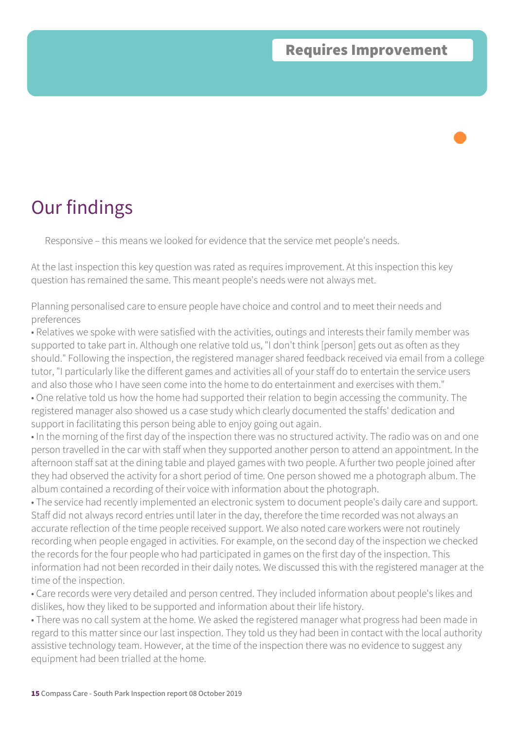Responsive – this means we looked for evidence that the service met people's needs.

At the last inspection this key question was rated as requires improvement. At this inspection this key question has remained the same. This meant people's needs were not always met.

Planning personalised care to ensure people have choice and control and to meet their needs and preferences

• Relatives we spoke with were satisfied with the activities, outings and interests their family member was supported to take part in. Although one relative told us, "I don't think [person] gets out as often as they should." Following the inspection, the registered manager shared feedback received via email from a college tutor, "I particularly like the different games and activities all of your staff do to entertain the service users and also those who I have seen come into the home to do entertainment and exercises with them." • One relative told us how the home had supported their relation to begin accessing the community. The

registered manager also showed us a case study which clearly documented the staffs' dedication and support in facilitating this person being able to enjoy going out again.

• In the morning of the first day of the inspection there was no structured activity. The radio was on and one person travelled in the car with staff when they supported another person to attend an appointment. In the afternoon staff sat at the dining table and played games with two people. A further two people joined after they had observed the activity for a short period of time. One person showed me a photograph album. The album contained a recording of their voice with information about the photograph.

• The service had recently implemented an electronic system to document people's daily care and support. Staff did not always record entries until later in the day, therefore the time recorded was not always an accurate reflection of the time people received support. We also noted care workers were not routinely recording when people engaged in activities. For example, on the second day of the inspection we checked the records for the four people who had participated in games on the first day of the inspection. This information had not been recorded in their daily notes. We discussed this with the registered manager at the time of the inspection.

• Care records were very detailed and person centred. They included information about people's likes and dislikes, how they liked to be supported and information about their life history.

• There was no call system at the home. We asked the registered manager what progress had been made in regard to this matter since our last inspection. They told us they had been in contact with the local authority assistive technology team. However, at the time of the inspection there was no evidence to suggest any equipment had been trialled at the home.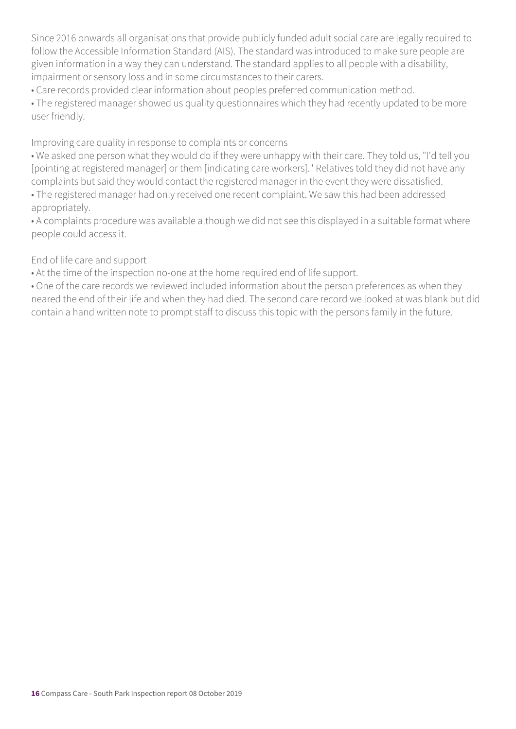Since 2016 onwards all organisations that provide publicly funded adult social care are legally required to follow the Accessible Information Standard (AIS). The standard was introduced to make sure people are given information in a way they can understand. The standard applies to all people with a disability, impairment or sensory loss and in some circumstances to their carers.

• Care records provided clear information about peoples preferred communication method.

• The registered manager showed us quality questionnaires which they had recently updated to be more user friendly.

Improving care quality in response to complaints or concerns

• We asked one person what they would do if they were unhappy with their care. They told us, "I'd tell you [pointing at registered manager] or them [indicating care workers]." Relatives told they did not have any complaints but said they would contact the registered manager in the event they were dissatisfied.

• The registered manager had only received one recent complaint. We saw this had been addressed appropriately.

• A complaints procedure was available although we did not see this displayed in a suitable format where people could access it.

#### End of life care and support

• At the time of the inspection no-one at the home required end of life support.

• One of the care records we reviewed included information about the person preferences as when they neared the end of their life and when they had died. The second care record we looked at was blank but did contain a hand written note to prompt staff to discuss this topic with the persons family in the future.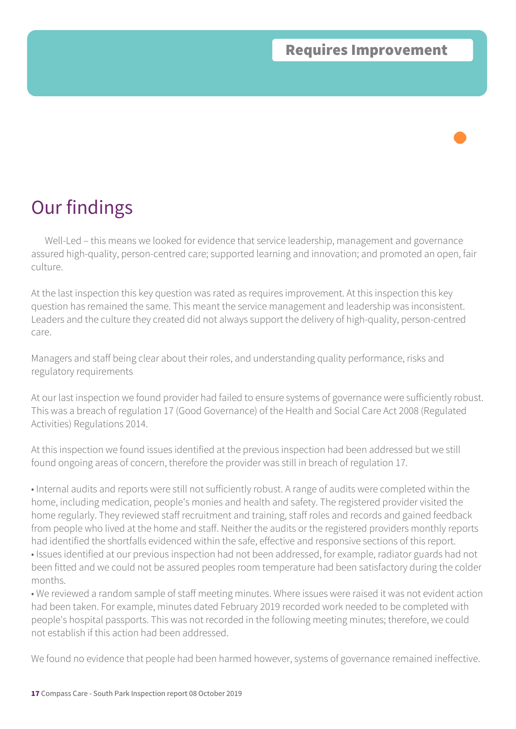Well-Led – this means we looked for evidence that service leadership, management and governance assured high-quality, person-centred care; supported learning and innovation; and promoted an open, fair culture.

At the last inspection this key question was rated as requires improvement. At this inspection this key question has remained the same. This meant the service management and leadership was inconsistent. Leaders and the culture they created did not always support the delivery of high-quality, person-centred care.

Managers and staff being clear about their roles, and understanding quality performance, risks and regulatory requirements

At our last inspection we found provider had failed to ensure systems of governance were sufficiently robust. This was a breach of regulation 17 (Good Governance) of the Health and Social Care Act 2008 (Regulated Activities) Regulations 2014.

At this inspection we found issues identified at the previous inspection had been addressed but we still found ongoing areas of concern, therefore the provider was still in breach of regulation 17.

• Internal audits and reports were still not sufficiently robust. A range of audits were completed within the home, including medication, people's monies and health and safety. The registered provider visited the home regularly. They reviewed staff recruitment and training, staff roles and records and gained feedback from people who lived at the home and staff. Neither the audits or the registered providers monthly reports had identified the shortfalls evidenced within the safe, effective and responsive sections of this report. • Issues identified at our previous inspection had not been addressed, for example, radiator guards had not been fitted and we could not be assured peoples room temperature had been satisfactory during the colder months.

• We reviewed a random sample of staff meeting minutes. Where issues were raised it was not evident action had been taken. For example, minutes dated February 2019 recorded work needed to be completed with people's hospital passports. This was not recorded in the following meeting minutes; therefore, we could not establish if this action had been addressed.

We found no evidence that people had been harmed however, systems of governance remained ineffective.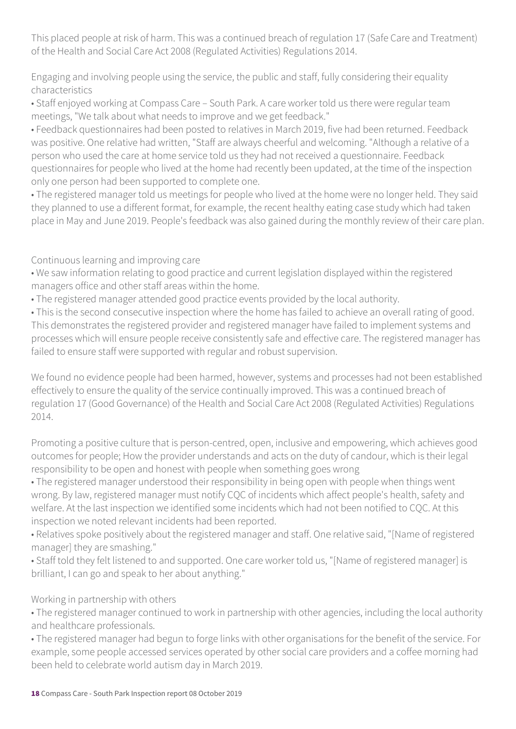This placed people at risk of harm. This was a continued breach of regulation 17 (Safe Care and Treatment) of the Health and Social Care Act 2008 (Regulated Activities) Regulations 2014.

Engaging and involving people using the service, the public and staff, fully considering their equality characteristics

• Staff enjoyed working at Compass Care – South Park. A care worker told us there were regular team meetings, "We talk about what needs to improve and we get feedback."

• Feedback questionnaires had been posted to relatives in March 2019, five had been returned. Feedback was positive. One relative had written, "Staff are always cheerful and welcoming. "Although a relative of a person who used the care at home service told us they had not received a questionnaire. Feedback questionnaires for people who lived at the home had recently been updated, at the time of the inspection only one person had been supported to complete one.

• The registered manager told us meetings for people who lived at the home were no longer held. They said they planned to use a different format, for example, the recent healthy eating case study which had taken place in May and June 2019. People's feedback was also gained during the monthly review of their care plan.

Continuous learning and improving care

• We saw information relating to good practice and current legislation displayed within the registered managers office and other staff areas within the home.

• The registered manager attended good practice events provided by the local authority.

• This is the second consecutive inspection where the home has failed to achieve an overall rating of good. This demonstrates the registered provider and registered manager have failed to implement systems and processes which will ensure people receive consistently safe and effective care. The registered manager has failed to ensure staff were supported with regular and robust supervision.

We found no evidence people had been harmed, however, systems and processes had not been established effectively to ensure the quality of the service continually improved. This was a continued breach of regulation 17 (Good Governance) of the Health and Social Care Act 2008 (Regulated Activities) Regulations 2014.

Promoting a positive culture that is person-centred, open, inclusive and empowering, which achieves good outcomes for people; How the provider understands and acts on the duty of candour, which is their legal responsibility to be open and honest with people when something goes wrong

• The registered manager understood their responsibility in being open with people when things went wrong. By law, registered manager must notify CQC of incidents which affect people's health, safety and welfare. At the last inspection we identified some incidents which had not been notified to CQC. At this inspection we noted relevant incidents had been reported.

• Relatives spoke positively about the registered manager and staff. One relative said, "[Name of registered manager] they are smashing."

• Staff told they felt listened to and supported. One care worker told us, "[Name of registered manager] is brilliant, I can go and speak to her about anything."

Working in partnership with others

• The registered manager continued to work in partnership with other agencies, including the local authority and healthcare professionals.

• The registered manager had begun to forge links with other organisations for the benefit of the service. For example, some people accessed services operated by other social care providers and a coffee morning had been held to celebrate world autism day in March 2019.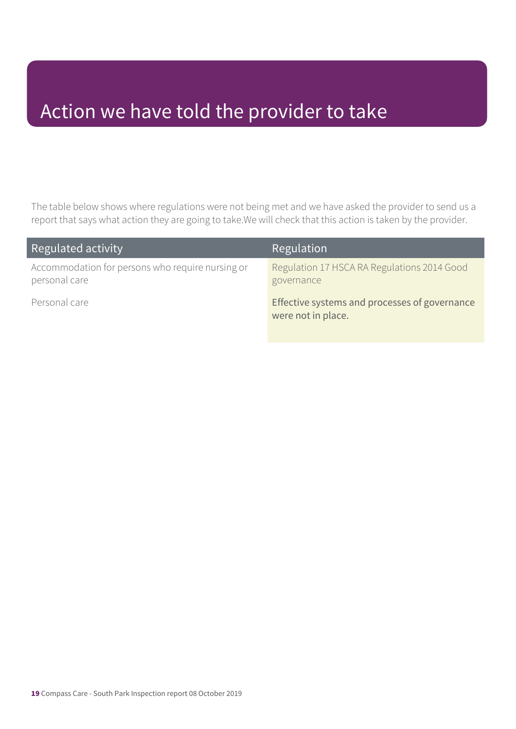### Action we have told the provider to take

The table below shows where regulations were not being met and we have asked the provider to send us a report that says what action they are going to take.We will check that this action is taken by the provider.

| Regulated activity                                                | Regulation                                                          |
|-------------------------------------------------------------------|---------------------------------------------------------------------|
| Accommodation for persons who require nursing or<br>personal care | Regulation 17 HSCA RA Regulations 2014 Good<br>governance           |
| Personal care                                                     | Effective systems and processes of governance<br>were not in place. |